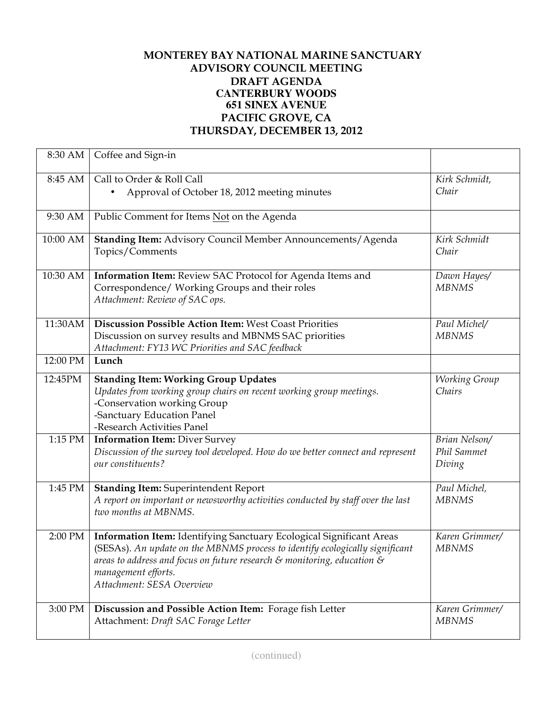## **MONTEREY BAY NATIONAL MARINE SANCTUARY ADVISORY COUNCIL MEETING DRAFT AGENDA CANTERBURY WOODS 651 SINEX AVENUE PACIFIC GROVE, CA THURSDAY, DECEMBER 13, 2012**

| 8:30 AM  | Coffee and Sign-in                                                                              |                |
|----------|-------------------------------------------------------------------------------------------------|----------------|
| 8:45 AM  | Call to Order & Roll Call                                                                       | Kirk Schmidt,  |
|          | Approval of October 18, 2012 meeting minutes                                                    | Chair          |
|          |                                                                                                 |                |
| 9:30 AM  | Public Comment for Items Not on the Agenda                                                      |                |
|          |                                                                                                 |                |
| 10:00 AM | Standing Item: Advisory Council Member Announcements/Agenda                                     | Kirk Schmidt   |
|          | Topics/Comments                                                                                 | Chair          |
|          |                                                                                                 |                |
| 10:30 AM | Information Item: Review SAC Protocol for Agenda Items and                                      | Dawn Hayes/    |
|          | Correspondence/ Working Groups and their roles                                                  | <b>MBNMS</b>   |
|          | Attachment: Review of SAC ops.                                                                  |                |
|          |                                                                                                 |                |
| 11:30AM  | <b>Discussion Possible Action Item: West Coast Priorities</b>                                   | Paul Michel/   |
|          | Discussion on survey results and MBNMS SAC priorities                                           | <b>MBNMS</b>   |
|          | Attachment: FY13 WC Priorities and SAC feedback                                                 |                |
| 12:00 PM | Lunch                                                                                           |                |
|          |                                                                                                 |                |
| 12:45PM  | <b>Standing Item: Working Group Updates</b>                                                     | Working Group  |
|          | Updates from working group chairs on recent working group meetings.                             | Chairs         |
|          | -Conservation working Group                                                                     |                |
|          | -Sanctuary Education Panel                                                                      |                |
|          | -Research Activities Panel                                                                      |                |
| 1:15 PM  | <b>Information Item: Diver Survey</b>                                                           | Brian Nelson/  |
|          | Discussion of the survey tool developed. How do we better connect and represent                 | Phil Sammet    |
|          | our constituents?                                                                               | Diving         |
|          |                                                                                                 |                |
| 1:45 PM  | <b>Standing Item: Superintendent Report</b>                                                     | Paul Michel,   |
|          | A report on important or newsworthy activities conducted by staff over the last                 | <b>MBNMS</b>   |
|          | two months at MBNMS.                                                                            |                |
|          |                                                                                                 |                |
| 2:00 PM  | Information Item: Identifying Sanctuary Ecological Significant Areas                            | Karen Grimmer/ |
|          | (SESAs). An update on the MBNMS process to identify ecologically significant                    | <b>MBNMS</b>   |
|          | areas to address and focus on future research $\varepsilon$ monitoring, education $\varepsilon$ |                |
|          | management efforts.                                                                             |                |
|          | Attachment: SESA Overview                                                                       |                |
|          |                                                                                                 |                |
| 3:00 PM  | Discussion and Possible Action Item: Forage fish Letter                                         | Karen Grimmer/ |
|          | Attachment: Draft SAC Forage Letter                                                             | <b>MBNMS</b>   |
|          |                                                                                                 |                |
|          |                                                                                                 |                |